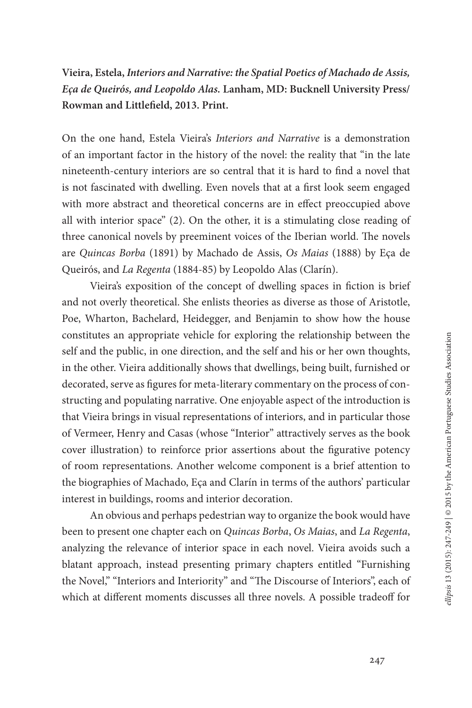**Vieira, Estela,** *Interiors and Narrative: the Spatial Poetics of Machado de Assis, Eça de Queirós, and Leopoldo Alas.* **Lanham, MD: Bucknell University Press/ Rowman and Littlefield, 2013. Print.**

On the one hand, Estela Vieira's *Interiors and Narrative* is a demonstration of an important factor in the history of the novel: the reality that "in the late nineteenth-century interiors are so central that it is hard to find a novel that is not fascinated with dwelling. Even novels that at a first look seem engaged with more abstract and theoretical concerns are in effect preoccupied above all with interior space" (2). On the other, it is a stimulating close reading of three canonical novels by preeminent voices of the Iberian world. The novels are *Quincas Borba* (1891) by Machado de Assis, *Os Maias* (1888) by Eça de Queirós, and *La Regenta* (1884-85) by Leopoldo Alas (Clarín).

Vieira's exposition of the concept of dwelling spaces in fiction is brief and not overly theoretical. She enlists theories as diverse as those of Aristotle, Poe, Wharton, Bachelard, Heidegger, and Benjamin to show how the house constitutes an appropriate vehicle for exploring the relationship between the self and the public, in one direction, and the self and his or her own thoughts, in the other. Vieira additionally shows that dwellings, being built, furnished or decorated, serve as figures for meta-literary commentary on the process of constructing and populating narrative. One enjoyable aspect of the introduction is that Vieira brings in visual representations of interiors, and in particular those of Vermeer, Henry and Casas (whose "Interior" attractively serves as the book cover illustration) to reinforce prior assertions about the figurative potency of room representations. Another welcome component is a brief attention to the biographies of Machado, Eça and Clarín in terms of the authors' particular interest in buildings, rooms and interior decoration.

An obvious and perhaps pedestrian way to organize the book would have been to present one chapter each on *Quincas Borba*, *Os Maias*, and *La Regenta*, analyzing the relevance of interior space in each novel. Vieira avoids such a blatant approach, instead presenting primary chapters entitled "Furnishing the Novel," "Interiors and Interiority" and "The Discourse of Interiors", each of which at different moments discusses all three novels. A possible tradeoff for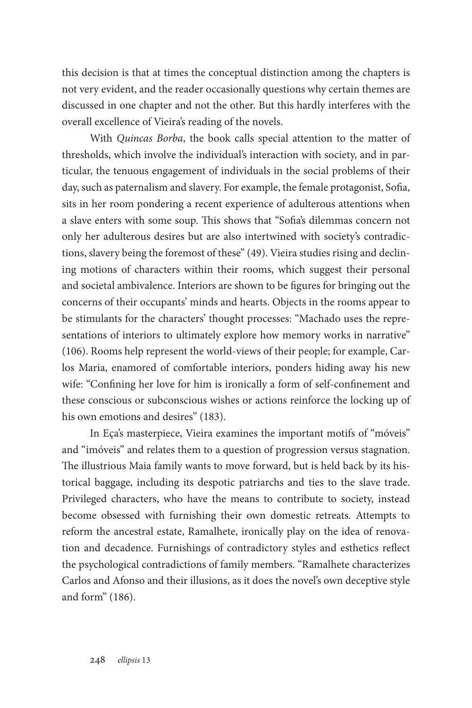this decision is that at times the conceptual distinction among the chapters is not very evident, and the reader occasionally questions why certain themes are discussed in one chapter and not the other. But this hardly interferes with the overall excellence of Vieira's reading of the novels.

With *Quincas Borba*, the book calls special attention to the matter of thresholds, which involve the individual's interaction with society, and in particular, the tenuous engagement of individuals in the social problems of their day, such as paternalism and slavery. For example, the female protagonist, Sofia, sits in her room pondering a recent experience of adulterous attentions when a slave enters with some soup. This shows that "Sofia's dilemmas concern not only her adulterous desires but are also intertwined with society's contradictions, slavery being the foremost of these" (49). Vieira studies rising and declining motions of characters within their rooms, which suggest their personal and societal ambivalence. Interiors are shown to be figures for bringing out the concerns of their occupants' minds and hearts. Objects in the rooms appear to be stimulants for the characters' thought processes: "Machado uses the representations of interiors to ultimately explore how memory works in narrative" (106). Rooms help represent the world-views of their people; for example, Carlos Maria, enamored of comfortable interiors, ponders hiding away his new wife: "Confining her love for him is ironically a form of self-confinement and these conscious or subconscious wishes or actions reinforce the locking up of his own emotions and desires" (183).

In Eça's masterpiece, Vieira examines the important motifs of "móveis" and "imóveis" and relates them to a question of progression versus stagnation. The illustrious Maia family wants to move forward, but is held back by its historical baggage, including its despotic patriarchs and ties to the slave trade. Privileged characters, who have the means to contribute to society, instead become obsessed with furnishing their own domestic retreats. Attempts to reform the ancestral estate, Ramalhete, ironically play on the idea of renovation and decadence. Furnishings of contradictory styles and esthetics reflect the psychological contradictions of family members. "Ramalhete characterizes Carlos and Afonso and their illusions, as it does the novel's own deceptive style and form" (186).